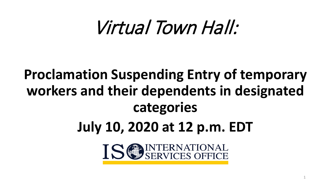# Virtual Town Hall:

## **Proclamation Suspending Entry of temporary workers and their dependents in designated categories**

**July 10, 2020 at 12 p.m. EDT**



1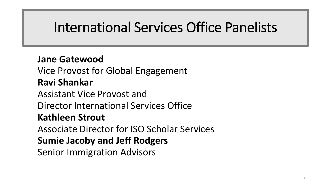#### International Services Office Panelists

#### **Jane Gatewood**

Vice Provost for Global Engagement

#### **Ravi Shankar**

Assistant Vice Provost and

Director International Services Office

#### **Kathleen Strout**

Associate Director for ISO Scholar Services

#### **Sumie Jacoby and Jeff Rodgers**

Senior Immigration Advisors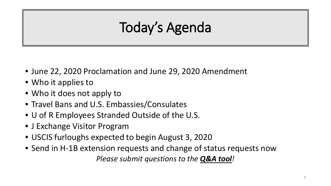## Today's Agenda

- June 22, 2020 Proclamation and June 29, 2020 Amendment
- Who it applies to
- Who it does not apply to
- Travel Bans and U.S. Embassies/Consulates
- U of R Employees Stranded Outside of the U.S.
- J Exchange Visitor Program
- USCIS furloughs expected to begin August 3, 2020
- Send in H-1B extension requests and change of status requests now *Please submit questions to the Q&A tool!*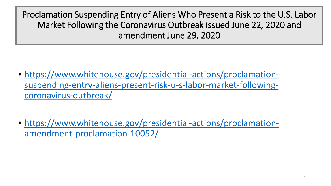- https://www.whitehouse.gov/presidential-actions/proclamation[suspending-entry-aliens-present-risk-u-s-labor-market-following](https://www.whitehouse.gov/presidential-actions/proclamation-suspending-entry-aliens-present-risk-u-s-labor-market-following-coronavirus-outbreak/)coronavirus-outbreak/
- [https://www.whitehouse.gov/presidential-actions/proclamation](https://www.whitehouse.gov/presidential-actions/proclamation-amendment-proclamation-10052/)amendment-proclamation-10052/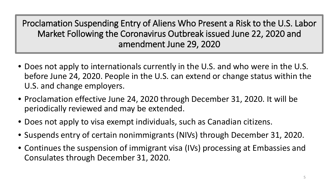- Does not apply to internationals currently in the U.S. and who were in the U.S. before June 24, 2020. People in the U.S. can extend or change status within the U.S. and change employers.
- Proclamation effective June 24, 2020 through December 31, 2020. It will be periodically reviewed and may be extended.
- Does not apply to visa exempt individuals, such as Canadian citizens.
- Suspends entry of certain nonimmigrants (NIVs) through December 31, 2020.
- Continues the suspension of immigrant visa (IVs) processing at Embassies and Consulates through December 31, 2020.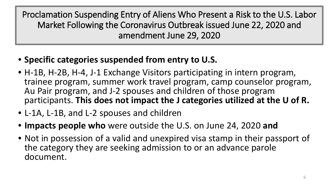- **Specific categories suspended from entry to U.S.**
- H-1B, H-2B, H-4, J-1 Exchange Visitors participating in intern program, trainee program, summer work travel program, camp counselor program, Au Pair program, and J-2 spouses and children of those program participants. **This does not impact the J categories utilized at the U of R.**
- L-1A, L-1B, and L-2 spouses and children
- **Impacts people who** were outside the U.S. on June 24, 2020 **and**
- Not in possession of a valid and unexpired visa stamp in their passport of the category they are seeking admission to or an advance parole document.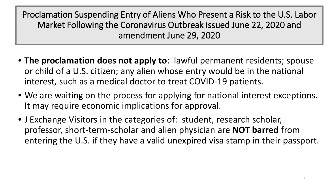- **The proclamation does not apply to**: lawful permanent residents; spouse or child of a U.S. citizen; any alien whose entry would be in the national interest, such as a medical doctor to treat COVID-19 patients.
- We are waiting on the process for applying for national interest exceptions. It may require economic implications for approval.
- J Exchange Visitors in the categories of: student, research scholar, professor, short-term-scholar and alien physician are **NOT barred** from entering the U.S. if they have a valid unexpired visa stamp in their passport.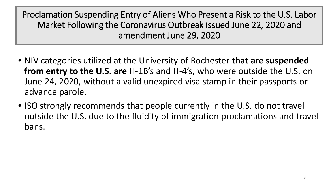- NIV categories utilized at the University of Rochester **that are suspended from entry to the U.S. are** H-1B's and H-4's, who were outside the U.S. on June 24, 2020, without a valid unexpired visa stamp in their passports or advance parole.
- ISO strongly recommends that people currently in the U.S. do not travel outside the U.S. due to the fluidity of immigration proclamations and travel bans.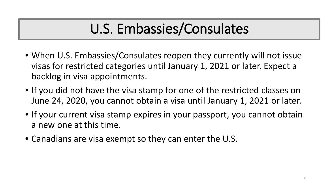### U.S. Embassies/Consulates

- When U.S. Embassies/Consulates reopen they currently will not issue visas for restricted categories until January 1, 2021 or later. Expect a backlog in visa appointments.
- If you did not have the visa stamp for one of the restricted classes on June 24, 2020, you cannot obtain a visa until January 1, 2021 or later.
- If your current visa stamp expires in your passport, you cannot obtain a new one at this time.
- Canadians are visa exempt so they can enter the U.S.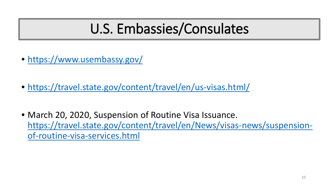#### U.S. Embassies/Consulates

- <https://www.usembassy.gov/>
- <https://travel.state.gov/content/travel/en/us-visas.html/>
- March 20, 2020, Suspension of Routine Visa Issuance. [https://travel.state.gov/content/travel/en/News/visas-news/suspension](https://travel.state.gov/content/travel/en/News/visas-news/suspension-of-routine-visa-services.html)of-routine-visa-services.html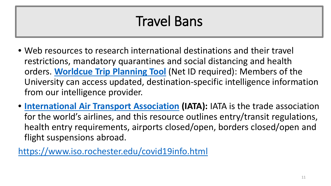### Travel Bans

- Web resources to research international destinations and their travel restrictions, mandatory quarantines and social distancing and health orders. **[Worldcue Trip Planning Tool](https://www.rochester.edu/global/planner/)** (Net ID required): Members of the University can access updated, destination-specific intelligence information from our intelligence provider.
- **[International Air Transport Association](https://www.iatatravelcentre.com/international-travel-document-news/1580226297.htm) (IATA):** IATA is the trade association for the world's airlines, and this resource outlines entry/transit regulations, health entry requirements, airports closed/open, borders closed/open and flight suspensions abroad.

<https://www.iso.rochester.edu/covid19info.html>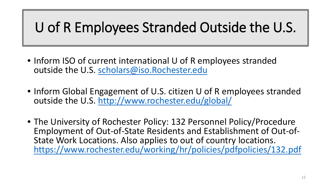#### U of R Employees Stranded Outside the U.S.

- Inform ISO of current international U of R employees stranded outside the U.S. [scholars@iso.Rochester.edu](mailto:scholars@iso.Rochester.edu)
- Inform Global Engagement of U.S. citizen U of R employees stranded outside the U.S. <http://www.rochester.edu/global/>
- The University of Rochester Policy: 132 Personnel Policy/Procedure<br>- Employment of Out-of-State Residents and Establishment of Out-of-State Work Locations. Also applies to out of country locations. <https://www.rochester.edu/working/hr/policies/pdfpolicies/132.pdf>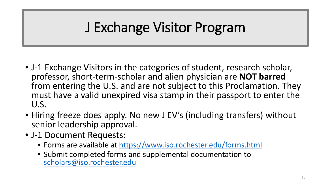### J Exchange Visitor Program

- J-1 Exchange Visitors in the categories of student, research scholar, professor, short-term-scholar and alien physician are **NOT barred**  from entering the U.S. and are not subject to this Proclamation. They must have a valid unexpired visa stamp in their passport to enter the U.S.
- Hiring freeze does apply. No new J EV's (including transfers) without senior leadership approval.
- J-1 Document Requests:
	- Forms are available at<https://www.iso.rochester.edu/forms.html>
	- Submit completed forms and supplemental documentation to [scholars@iso.rochester.edu](mailto:scholars@iso.rochester.edu)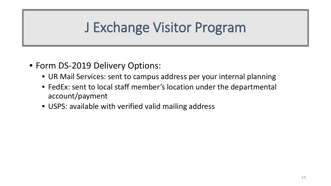#### J Exchange Visitor Program

- Form DS-2019 Delivery Options:
	- UR Mail Services: sent to campus address per your internal planning
	- FedEx: sent to local staff member's location under the departmental account/payment
	- USPS: available with verified valid mailing address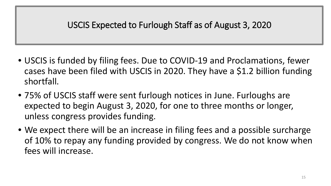- USCIS is funded by filing fees. Due to COVID-19 and Proclamations, fewer cases have been filed with USCIS in 2020. They have a \$1.2 billion funding shortfall.
- 75% of USCIS staff were sent furlough notices in June. Furloughs are expected to begin August 3, 2020, for one to three months or longer, unless congress provides funding.
- We expect there will be an increase in filing fees and a possible surcharge of 10% to repay any funding provided by congress. We do not know when fees will increase.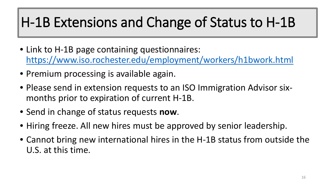### H-1B Extensions and Change of Status to H-1B

- Link to H-1B page containing questionnaires: <https://www.iso.rochester.edu/employment/workers/h1bwork.html>
- Premium processing is available again.
- Please send in extension requests to an ISO Immigration Advisor sixmonths prior to expiration of current H-1B.
- Send in change of status requests **now**.
- Hiring freeze. All new hires must be approved by senior leadership.
- Cannot bring new international hires in the H-1B status from outside the U.S. at this time.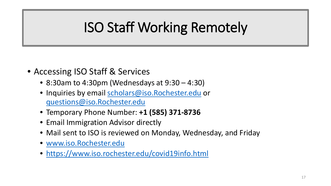#### ISO Staff Working Remotely

- Accessing ISO Staff & Services
	- 8:30am to 4:30pm (Wednesdays at 9:30 4:30)
	- Inquiries by email [scholars@iso.Rochester.edu](mailto:scholars@iso.Rochester.edu) or [questions@iso.Rochester.edu](mailto:questions@iso.Rochester.edu)
	- Temporary Phone Number: **+1 (585) 371-8736**
	- Email Immigration Advisor directly
	- Mail sent to ISO is reviewed on Monday, Wednesday, and Friday
	- [www.iso.Rochester.edu](http://www.iso.rochester.edu/)
	- <https://www.iso.rochester.edu/covid19info.html>